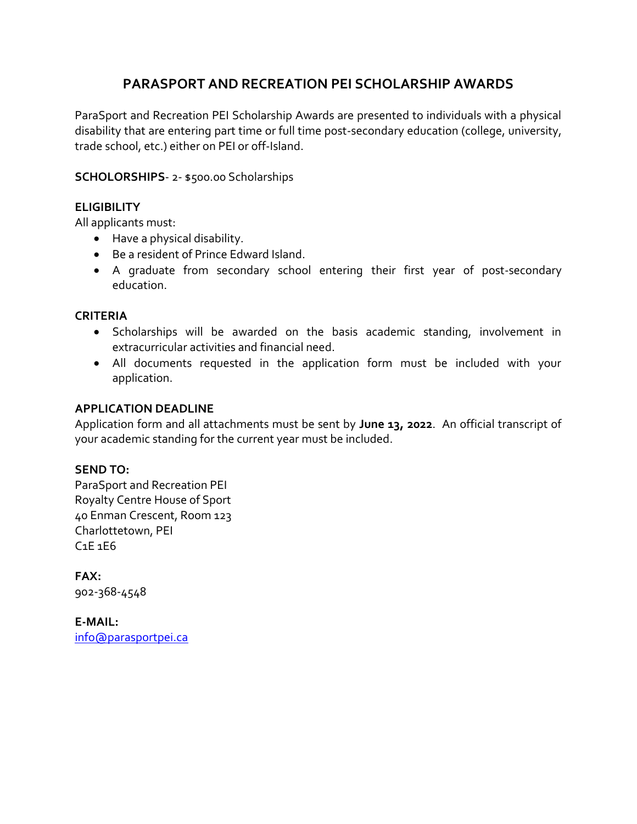# **PARASPORT AND RECREATION PEI SCHOLARSHIP AWARDS**

ParaSport and Recreation PEI Scholarship Awards are presented to individuals with a physical disability that are entering part time or full time post-secondary education (college, university, trade school, etc.) either on PEI or off-Island.

## **SCHOLORSHIPS**- 2- \$500.00 Scholarships

## **ELIGIBILITY**

All applicants must:

- Have a physical disability.
- Be a resident of Prince Edward Island.
- A graduate from secondary school entering their first year of post-secondary education.

### **CRITERIA**

- Scholarships will be awarded on the basis academic standing, involvement in extracurricular activities and financial need.
- All documents requested in the application form must be included with your application.

### **APPLICATION DEADLINE**

Application form and all attachments must be sent by **June 13, 2022**. An official transcript of your academic standing for the current year must be included.

## **SEND TO:**

ParaSport and Recreation PEI Royalty Centre House of Sport 40 Enman Crescent, Room 123 Charlottetown, PEI C1E 1E6

**FAX:** 902-368-4548

**E-MAIL:** [info@parasportpei.ca](mailto:info@parasportpei.ca)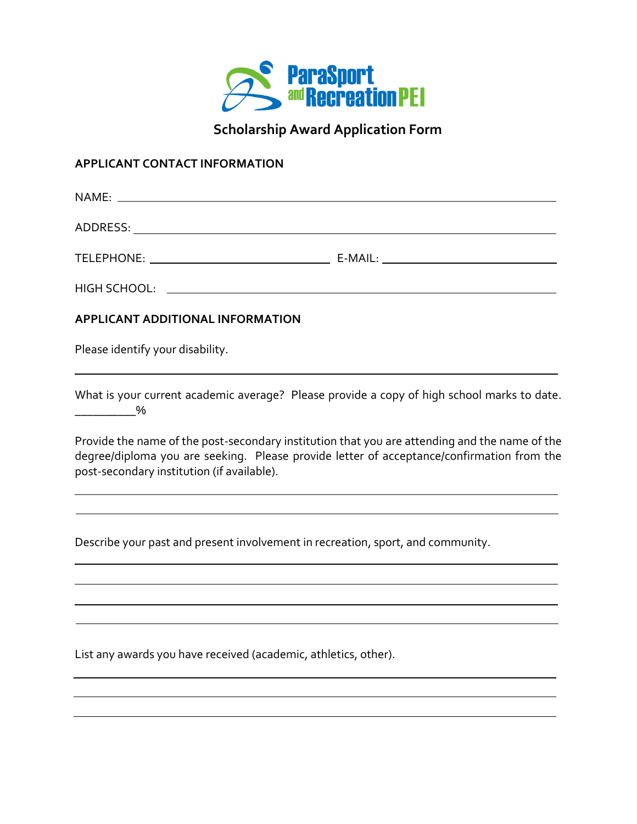

**Scholarship Award Application Form**

#### **APPLICANT CONTACT INFORMATION**

| APPLICANT ADDITIONAL INFORMATION |  |
|----------------------------------|--|
| Please identify your disability. |  |
|                                  |  |

What is your current academic average? Please provide a copy of high school marks to date. \_\_\_\_\_\_\_\_\_\_%

Provide the name of the post-secondary institution that you are attending and the name of the degree/diploma you are seeking. Please provide letter of acceptance/confirmation from the post-secondary institution (if available).

Describe your past and present involvement in recreation, sport, and community.

List any awards you have received (academic, athletics, other).